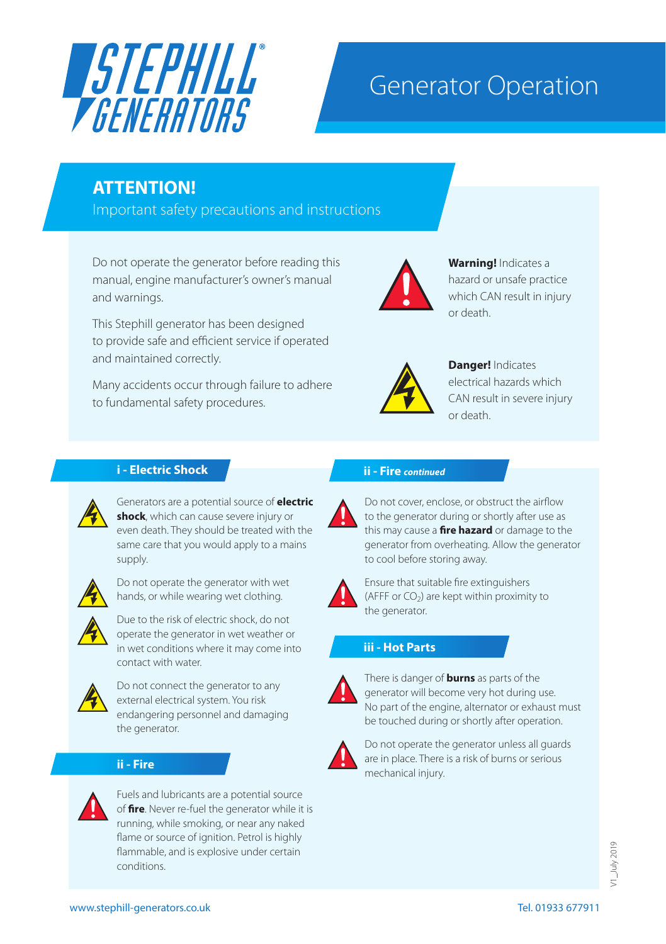

# Generator Operation

# **ATTENTION!**

Important safety precautions and instructions

Do not operate the generator before reading this manual, engine manufacturer's owner's manual and warnings.

This Stephill generator has been designed to provide safe and efficient service if operated and maintained correctly.

Many accidents occur through failure to adhere to fundamental safety procedures.



**Warning!** Indicates a hazard or unsafe practice which CAN result in injury or death.



**Danger!** Indicates electrical hazards which CAN result in severe injury or death.

# **i - Electric Shock**



Generators are a potential source of **electric shock**, which can cause severe injury or even death. They should be treated with the same care that you would apply to a mains supply.



Do not operate the generator with wet hands, or while wearing wet clothing.



Due to the risk of electric shock, do not operate the generator in wet weather or in wet conditions where it may come into contact with water.



Do not connect the generator to any external electrical system. You risk endangering personnel and damaging the generator.

# **ii - Fire**



Fuels and lubricants are a potential source of **fire**. Never re-fuel the generator while it is running, while smoking, or near any naked flame or source of ignition. Petrol is highly flammable, and is explosive under certain conditions.

# **ii - Fire** *continued*



Do not cover, enclose, or obstruct the airflow to the generator during or shortly after use as this may cause a **fire hazard** or damage to the generator from overheating. Allow the generator to cool before storing away.



Ensure that suitable fire extinguishers (AFFF or  $CO<sub>2</sub>$ ) are kept within proximity to the generator.

# **iii - Hot Parts**



There is danger of **burns** as parts of the generator will become very hot during use. No part of the engine, alternator or exhaust must be touched during or shortly after operation.



Do not operate the generator unless all guards are in place. There is a risk of burns or serious mechanical injury.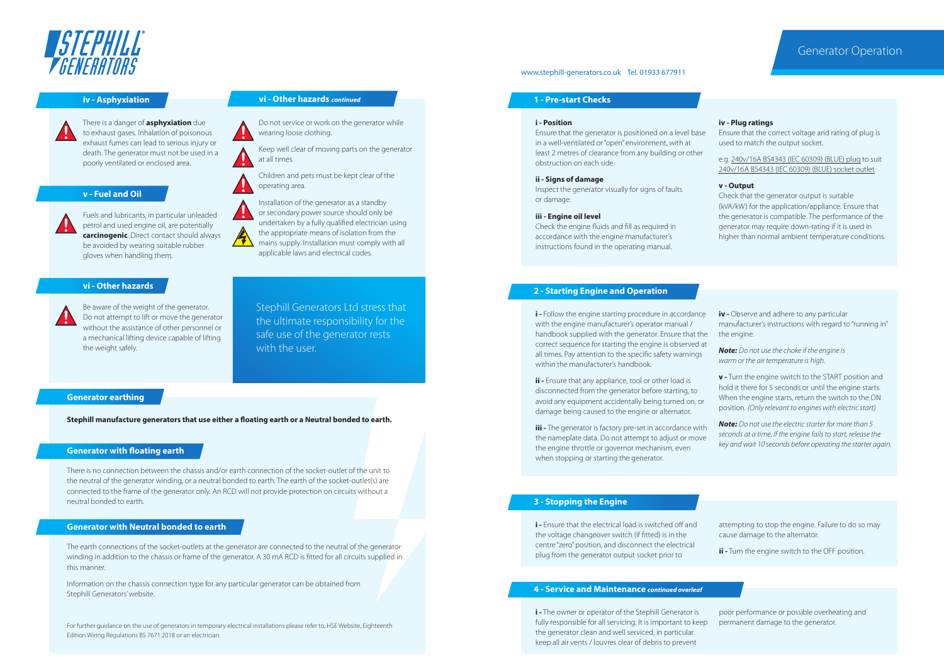

# **ASTEPHILL** *TRENERATORS*

There is a danger of **asphyxiation** due to exhaust gases. Inhalation of poisonous exhaust fumes can lead to serious injury or death. The generator must not be used in a poorly ventilated or enclosed area.

# **v - Fuel and Oil**

Fuels and lubricants, in particular unleaded petrol and used engine oil, are potentially **carcinogenic**. Direct contact should always be avoided by wearing suitable rubber gloves when handling them.

# **vi - Other hazards**



Be aware of the weight of the generator. Do not attempt to lift or move the generator without the assistance of other personnel or a mechanical lifting device capable of lifting the weight safely.

### **iv - Asphyxiation 1 - Pre-start Checks**

Do not service or work on the generator while wearing loose clothing.

Keep well clear of moving parts on the generator at all times. 

Children and pets must be kept clear of the operating area.

Installation of the generator as a standby or secondary power source should only be undertaken by a fully qualified electrician using the appropriate means of isolation from the  $\mathcal{H}$ mains supply. Installation must comply with all applicable laws and electrical codes.

# Stephill Generators Ltd stress that the ultimate responsibility for the safe use of the generator rests with the user.

# **Generator earthing**

**Stephill manufacture generators that use either a floating earth or a Neutral bonded to earth.**

## **Generator with floating earth**

There is no connection between the chassis and/or earth connection of the socket-outlet of the unit to the neutral of the generator winding, or a neutral bonded to earth. The earth of the socket-outlet(s) are connected to the frame of the generator only. An RCD will not provide protection on circuits without a neutral bonded to earth.

# **Generator with Neutral bonded to earth**

The earth connections of the socket-outlets at the generator are connected to the neutral of the generator winding in addition to the chassis or frame of the generator. A 30 mA RCD is fitted for all circuits supplied in this manner.

Information on the chassis connection type for any particular generator can be obtained from Stephill Generators' website.

For further guidance on the use of generators in temporary electrical installations please refer to, HSE Website, Eighteenth Edition Wiring Regulations BS 7671:2018 or an electrician.

# www.stephill-generators.co.uk Tel. 01933 677911

# **i - Position**

Ensure that the generator is positioned on a level base in a well-ventilated or "open" environment, with at least 2 metres of clearance from any building or other obstruction on each side.

# **ii - Signs of damage**

Inspect the generator visually for signs of faults or damage.

### **iii - Engine oil level**

Check the engine fluids and fill as required in accordance with the engine manufacturer's instructions found in the operating manual.

### **iv - Plug ratings**

Ensure that the correct voltage and rating of plug is used to match the output socket.

e.g. 240v/16A BS4343 (IEC 60309) (BLUE) plug to suit 240v/16A BS4343 (IEC 60309) (BLUE) socket outlet

### **v - Output**

Check that the generator output is suitable (kVA/kW) for the application/appliance. Ensure that the generator is compatible. The performance of the generator may require down-rating if it is used in higher than normal ambient temperature conditions.

# **2 - Starting Engine and Operation**

**i** - Follow the engine starting procedure in accordance with the engine manufacturer's operator manual / handbook supplied with the generator. Ensure that the correct sequence for starting the engine is observed at all times. Pay attention to the specific safety warnings within the manufacturer's handbook.

**ii -** Ensure that any appliance, tool or other load is disconnected from the generator before starting, to avoid any equipment accidentally being turned on, or damage being caused to the engine or alternator.

**iii** - The generator is factory pre-set in accordance with the nameplate data. Do not attempt to adjust or move the engine throttle or governor mechanism, even when stopping or starting the generator.

**iv -** Observe and adhere to any particular manufacturer's instructions with regard to "running in" the engine.

*Note: Do not use the choke if the engine is warm or the air temperature is high.*

**v -** Turn the engine switch to the START position and hold it there for 5 seconds or until the engine starts. When the engine starts, return the switch to the ON position. *(Only relevant to engines with electric start)*

*Note: Do not use the electric starter for more than 5 seconds at a time. If the engine fails to start, release the key and wait 10 seconds before operating the starter again.*

# **3 - Stopping the Engine**

**i -** Ensure that the electrical load is switched off and the voltage changeover switch (if fitted) is in the centre "zero" position, and disconnect the electrical plug from the generator output socket prior to

attempting to stop the engine. Failure to do so may cause damage to the alternator.

**ii -** Turn the engine switch to the OFF position.

# **4 - Service and Maintenance** *continued overleaf*

**i -** The owner or operator of the Stephill Generator is fully responsible for all servicing. It is important to keep the generator clean and well serviced, in particular keep all air vents / louvres clear of debris to prevent

poor performance or possible overheating and permanent damage to the generator.